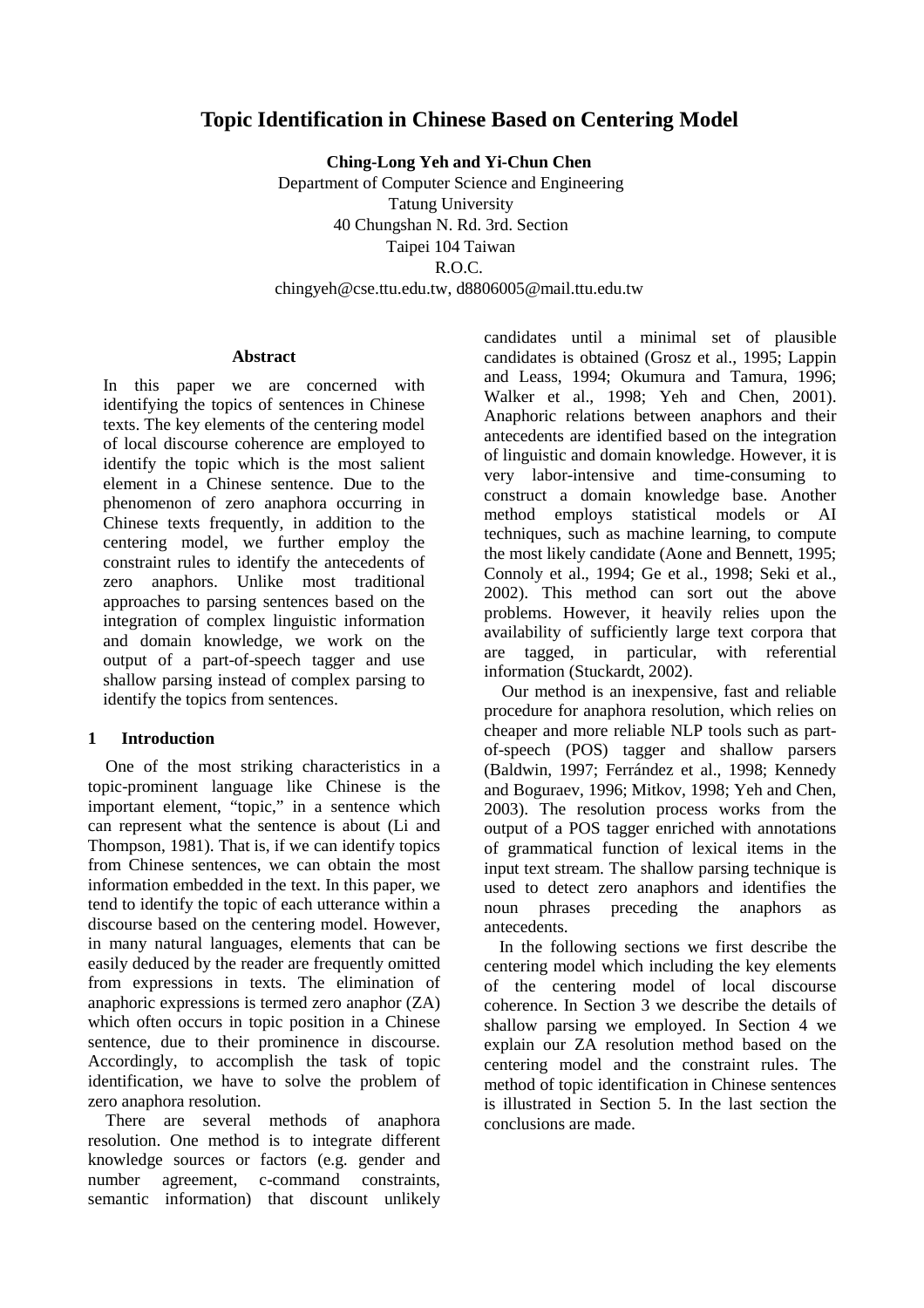# **Topic Identification in Chinese Based on Centering Model**

**Ching-Long Yeh and Yi-Chun Chen** 

Department of Computer Science and Engineering Tatung University 40 Chungshan N. Rd. 3rd. Section Taipei 104 Taiwan R.O.C. chingyeh@cse.ttu.edu.tw, d8806005@mail.ttu.edu.tw

#### **Abstract**

In this paper we are concerned with identifying the topics of sentences in Chinese texts. The key elements of the centering model of local discourse coherence are employed to identify the topic which is the most salient element in a Chinese sentence. Due to the phenomenon of zero anaphora occurring in Chinese texts frequently, in addition to the centering model, we further employ the constraint rules to identify the antecedents of zero anaphors. Unlike most traditional approaches to parsing sentences based on the integration of complex linguistic information and domain knowledge, we work on the output of a part-of-speech tagger and use shallow parsing instead of complex parsing to identify the topics from sentences.

### **1 Introduction**

One of the most striking characteristics in a topic-prominent language like Chinese is the important element, "topic," in a sentence which can represent what the sentence is about (Li and Thompson, 1981). That is, if we can identify topics from Chinese sentences, we can obtain the most information embedded in the text. In this paper, we tend to identify the topic of each utterance within a discourse based on the centering model. However, in many natural languages, elements that can be easily deduced by the reader are frequently omitted from expressions in texts. The elimination of anaphoric expressions is termed zero anaphor (ZA) which often occurs in topic position in a Chinese sentence, due to their prominence in discourse. Accordingly, to accomplish the task of topic identification, we have to solve the problem of zero anaphora resolution.

There are several methods of anaphora resolution. One method is to integrate different knowledge sources or factors (e.g. gender and number agreement, c-command constraints, semantic information) that discount unlikely candidates until a minimal set of plausible candidates is obtained (Grosz et al., 1995; Lappin and Leass, 1994; Okumura and Tamura, 1996; Walker et al., 1998; Yeh and Chen, 2001). Anaphoric relations between anaphors and their antecedents are identified based on the integration of linguistic and domain knowledge. However, it is very labor-intensive and time-consuming to construct a domain knowledge base. Another method employs statistical models or AI techniques, such as machine learning, to compute the most likely candidate (Aone and Bennett, 1995; Connoly et al., 1994; Ge et al., 1998; Seki et al., 2002). This method can sort out the above problems. However, it heavily relies upon the availability of sufficiently large text corpora that are tagged, in particular, with referential information (Stuckardt, 2002).

Our method is an inexpensive, fast and reliable procedure for anaphora resolution, which relies on cheaper and more reliable NLP tools such as partof-speech (POS) tagger and shallow parsers (Baldwin, 1997; Ferrández et al., 1998; Kennedy and Boguraev, 1996; Mitkov, 1998; Yeh and Chen, 2003). The resolution process works from the output of a POS tagger enriched with annotations of grammatical function of lexical items in the input text stream. The shallow parsing technique is used to detect zero anaphors and identifies the<br>noun phrases preceding the anaphors as noun phrases preceding the anaphors as antecedents.

In the following sections we first describe the centering model which including the key elements of the centering model of local discourse coherence. In Section 3 we describe the details of shallow parsing we employed. In Section 4 we explain our ZA resolution method based on the centering model and the constraint rules. The method of topic identification in Chinese sentences is illustrated in Section 5. In the last section the conclusions are made.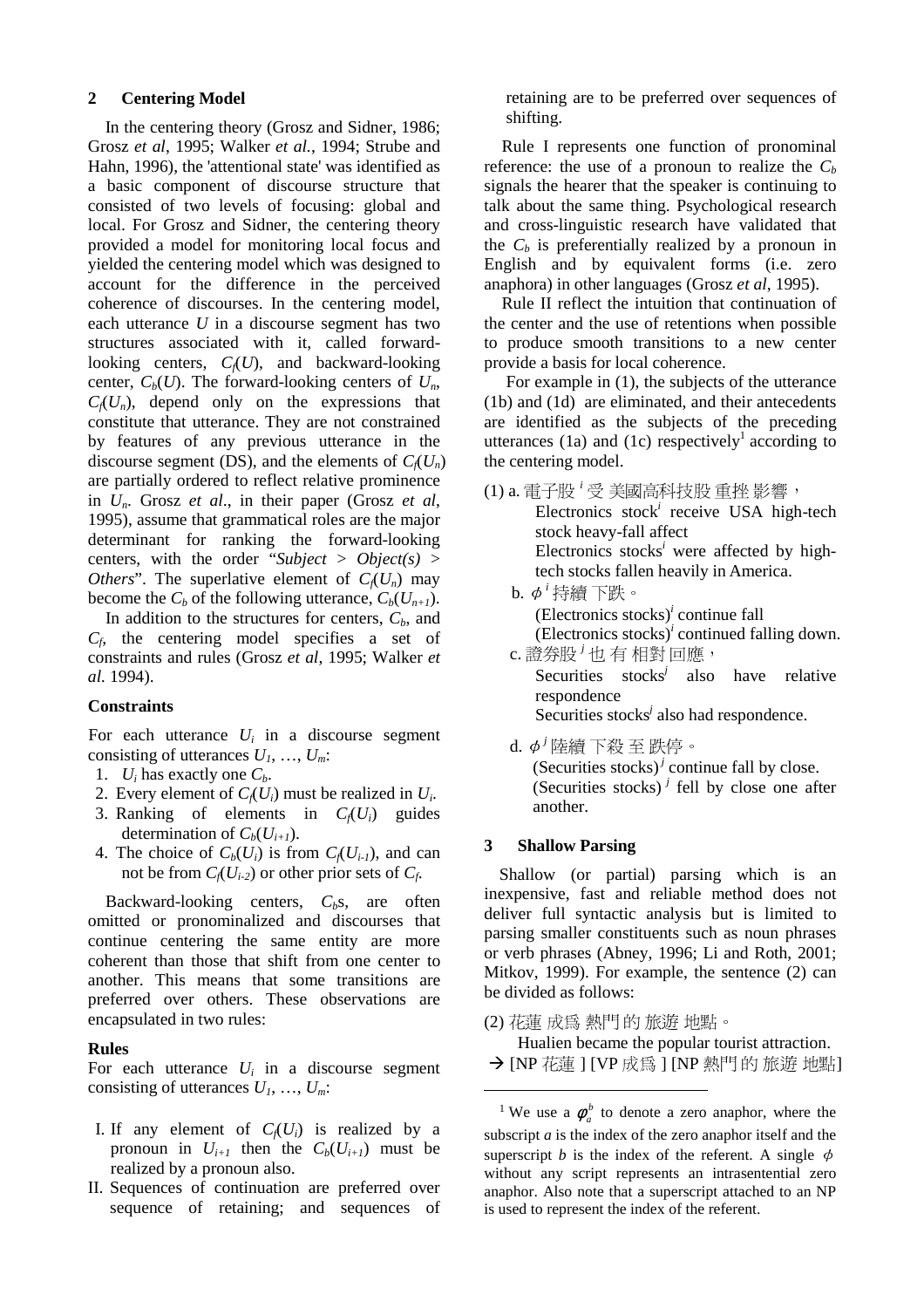#### **2 Centering Model**

In the centering theory (Grosz and Sidner, 1986; Grosz *et al*, 1995; Walker *et al.*, 1994; Strube and Hahn, 1996), the 'attentional state' was identified as a basic component of discourse structure that consisted of two levels of focusing: global and local. For Grosz and Sidner, the centering theory provided a model for monitoring local focus and yielded the centering model which was designed to account for the difference in the perceived coherence of discourses. In the centering model, each utterance *U* in a discourse segment has two structures associated with it, called forwardlooking centers,  $C_f(U)$ , and backward-looking center,  $C_b(U)$ . The forward-looking centers of  $U_n$ ,  $C_f(U_n)$ , depend only on the expressions that constitute that utterance. They are not constrained by features of any previous utterance in the discourse segment (DS), and the elements of  $C_f(U_n)$ are partially ordered to reflect relative prominence in *Un*. Grosz *et al*., in their paper (Grosz *et al*, 1995), assume that grammatical roles are the major determinant for ranking the forward-looking centers, with the order "*Subject* > *Object(s)* > *Others*". The superlative element of  $C_f(U_n)$  may become the  $C_b$  of the following utterance,  $C_b(U_{n+1})$ .

In addition to the structures for centers,  $C<sub>b</sub>$ , and *Cf*, the centering model specifies a set of constraints and rules (Grosz *et al*, 1995; Walker *et al.* 1994).

#### **Constraints**

For each utterance  $U_i$  in a discourse segment consisting of utterances *U1*, …, *Um*:

- 1.  $U_i$  has exactly one  $C_h$ .
- 2. Every element of  $C_f(U_i)$  must be realized in  $U_i$ .
- 3. Ranking of elements in  $C_f(U_i)$  guides determination of  $C_b(U_{i+1})$ .
- 4. The choice of  $C_b(U_i)$  is from  $C_f(U_{i-1})$ , and can not be from  $C_f(U_{i-2})$  or other prior sets of  $C_f$ .

Backward-looking centers, C<sub>b</sub>s, are often omitted or pronominalized and discourses that continue centering the same entity are more coherent than those that shift from one center to another. This means that some transitions are preferred over others. These observations are encapsulated in two rules:

#### **Rules**

For each utterance  $U_i$  in a discourse segment consisting of utterances  $U_1, \ldots, U_m$ .

- I. If any element of  $C_f(U_i)$  is realized by a pronoun in  $U_{i+1}$  then the  $C_b(U_{i+1})$  must be realized by a pronoun also.
- II. Sequences of continuation are preferred over sequence of retaining; and sequences of

retaining are to be preferred over sequences of shifting.

Rule I represents one function of pronominal reference: the use of a pronoun to realize the  $C_b$ signals the hearer that the speaker is continuing to talk about the same thing. Psychological research and cross-linguistic research have validated that the  $C_b$  is preferentially realized by a pronoun in English and by equivalent forms (i.e. zero anaphora) in other languages (Grosz *et al*, 1995).

Rule II reflect the intuition that continuation of the center and the use of retentions when possible to produce smooth transitions to a new center provide a basis for local coherence.

For example in (1), the subjects of the utterance (1b) and (1d) are eliminated, and their antecedents are identified as the subjects of the preceding utterances  $(1a)$  and  $(1c)$  respectively<sup>1</sup> according to the centering model.

- (1) a. 電子股<sup>,</sup> 受 美國高科技股 重挫 影響,
	- Electronics stock<sup>i</sup> receive USA high-tech stock heavy-fall affect Electronics stocks*<sup>i</sup>* were affected by hightech stocks fallen heavily in America.
	- $b. \phi^{i}$ 持續下跌。 (Electronics stocks)*<sup>i</sup>* continue fall (Electronics stocks) $<sup>i</sup>$  continued falling down.</sup> c. 證券股<sup>;</sup>也有相對回應,

Securities stocks*<sup>j</sup>* also have relative respondence

Securities stocks<sup>*j*</sup> also had respondence.

d.  $\phi^{j}$ 陸續下殺至跌停。 (Securities stocks)<sup> $j$ </sup> continue fall by close. (Securities stocks)<sup> $j$ </sup> fell by close one after another.

### **3 Shallow Parsing**

 $\overline{a}$ 

股 ture state at the state at the state at the state at the state at the state at the state at the state at the state at the state at the state at the state at the state at the state at the state at the state at the state The stock' receive 1<br>inics stock' receive 1<br>eavy-fall affect<br>mics stocks' were aff<br>cks fallen heavily in  $\overline{f}$ <br>mics stocks' were aff<br>cks fallen heavily in  $\overline{f}$ <br>mics stocks' continue<br>the stocks' also had rese<br>es sto the star as a star and star and star and star and star and star and star and star and star and star and Roth, 2 and star and Roth, 2 and star and Roth, 2 and star and for the star and for the star and for the star and for Formal contract the interest of the internal controller and  $\hat{p}$  internal contract of  $\hat{p}$  internal contrines stock  $\hat{p}$  interact currities stock  $\hat{p}$  interact currities stock  $\hat{p}$  interact currities stock 證券股<sup>j</sup><br>courit responds courit<br>(Securit of the courid another<br>hallow I llow (o ensive, f full symalle b phrase<br>v, 1999)<br>ided as f 蓮瓜為<br>I lualien b 花蓮 I<br>lualien b 花蓮<br>lualien b 花蓮<br>e use a  $\phi$ <br>pt *a* is the cript *b* is the the state of the stocks<sup>*j*</sup> also<br>ence<br>es stocks<sup>*j*</sup> also had i<br> $\top \mathcal{X} \not\equiv \mathcal{B} \mathcal{A} \not\equiv \mathcal{B} \mathcal{A} \not\equiv \mathcal{B} \mathcal{A} \not\equiv \mathcal{B} \mathcal{A} \not\equiv \mathcal{B} \mathcal{A} \not\equiv \mathcal{B} \mathcal{A} \not\equiv \mathcal{B} \mathcal{A} \mathcal{A}$ <br>**'arsing**<br>cannotatic analys the divergence of the set of the set of the set of the set of the set of the set of the set of the set of the set of the set of the set of the set of the set of the set of the set of the set of the set of the set of the s Shallow (or partial) parsing which is an inexpensive, fast and reliable method does not deliver full syntactic analysis but is limited to parsing smaller constituents such as noun phrases or verb phrases (Abney, 1996; Li and Roth, 2001; Mitkov, 1999). For example, the sentence (2) can be divided as follows:

(2) 花蓮成為 熱門的旅遊地點。

Hualien became the popular tourist attraction.

→ [NP 花蓮 ] [VP 成為 ] [NP 熱門 的 旅遊 地點]

subscript *a* is the index of the zero anaphor itself and the ! "# \$% & '( )\* **i**  $\frac{1}{2}$  [VP 成爲 ] [NP 熱門 的 旅遊 地點]<br> **a**  $\phi_a^b$  to denote a zero anaphor, where the s the index of the zero anaphor itself and the *b* is the index of the referent. A single  $\phi$  script represents an intrasentential <sup>1</sup> We use a  $\phi_a^b$  to denote a zero anaphor, where the superscript *b* is the index of the referent. A single  $\phi$ without any script represents an intrasentential zero anaphor. Also note that a superscript attached to an NP is used to represent the index of the referent.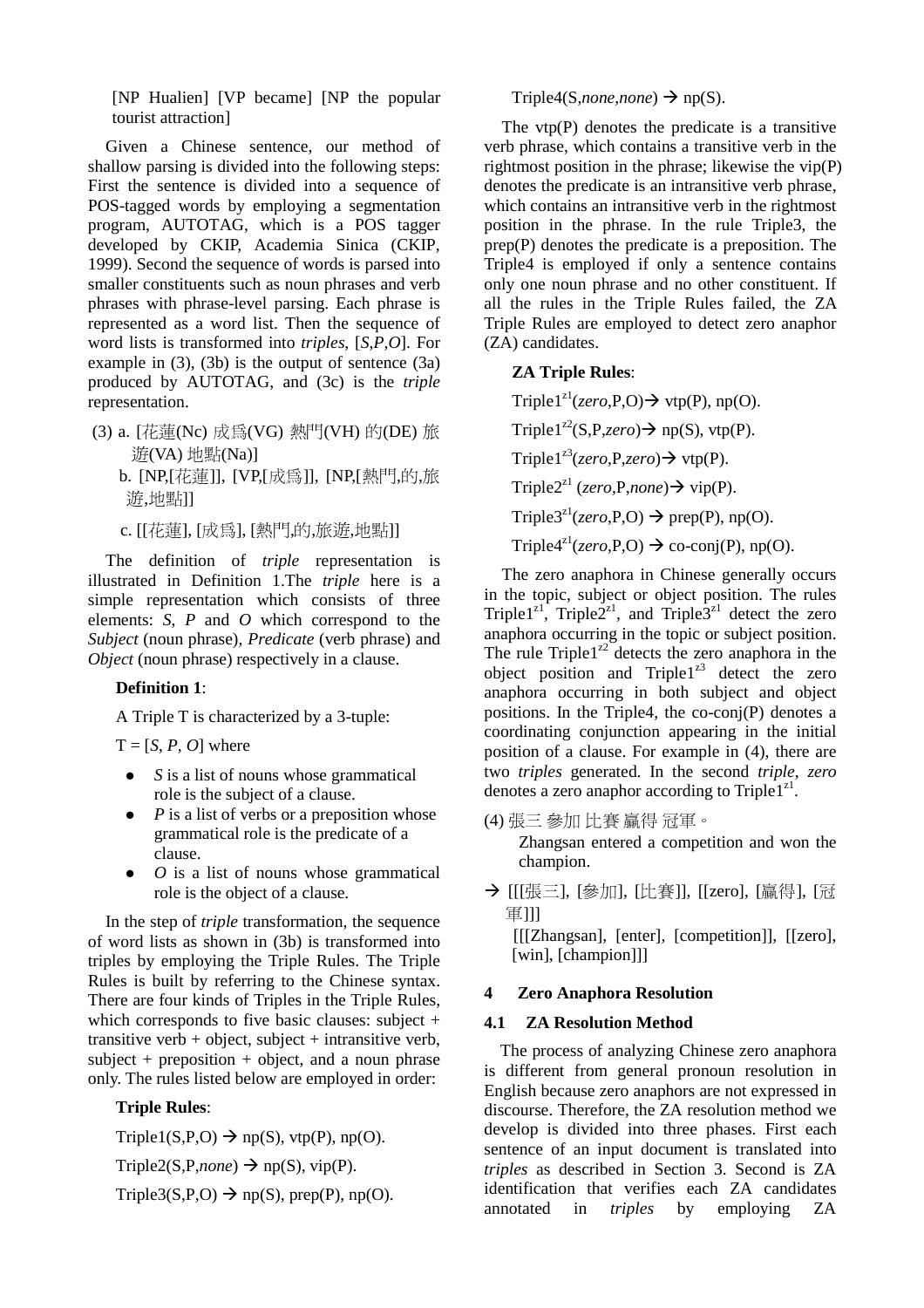[NP Hualien] [VP became] [NP the popular tourist attraction]

Given a Chinese sentence, our method of shallow parsing is divided into the following steps: First the sentence is divided into a sequence of POS-tagged words by employing a segmentation program, AUTOTAG, which is a POS tagger developed by CKIP, Academia Sinica (CKIP, 1999). Second the sequence of words is parsed into smaller constituents such as noun phrases and verb phrases with phrase-level parsing. Each phrase is represented as a word list. Then the sequence of word lists is transformed into *triples*, [*S,P,O*]. For example in  $(3)$ ,  $(3b)$  is the output of sentence  $(3a)$ produced by AUTOTAG, and (3c) is the *triple* representation.

- (3) a. [花蓮(Nc) 成為(VG) 熱門(VH) 的(DE) 旅
	- b. [NP,[花蓮]], [VP,[成爲]], [NP,[熱門,的,旅

c. [[花蓮], [成爲], [熱門,的,旅遊,地點]]

The definition of *triple* representation is illustrated in Definition 1.The *triple* here is a simple representation which consists of three elements: *S*, *P* and *O* which correspond to the *Subject* (noun phrase), *Predicate* (verb phrase) and *Object* (noun phrase) respectively in a clause.

# **Definition 1**:

A Triple T is characterized by a 3-tuple:

 $T = [S, P, O]$  where

- *S* is a list of nouns whose grammatical role is the subject of a clause.
- $\bullet$  *P* is a list of verbs or a preposition whose grammatical role is the predicate of a clause.
- $\bullet$  *O* is a list of nouns whose grammatical role is the object of a clause.

花蓮(Nc) 成爲(VG) 熱門(VH) 的(DE) 旅<br>
(KA) 地點(Na)]<br>
[NCA] 地點(Na)]<br>
[NCA] 山、[KE(成爲]], [NP[[熱門,的,旅<br>
[北點]]<br>
[花蓮]], [VP[[成爲]], [NP[[熱門,的,旅<br>
[北點]]<br>
[花蓮], [成爲], [熱門,的,旅遊,地點]]<br>
<br>
definition of *triple* representation is<br>
ed in Definiti ((VA) )\*(Na)] 花蓮]], [VP,[成爲]], [NP,[熱門,的,旅<br><br>i]]<br>i], [成爲], [熱門,的,旅遊,地點]]<br>i], [成爲], [熱門,的,旅遊,地點]]<br>mition of *triple* representation is<br>n Definition 1.The *triple* here is a sensentation which consists of three<br>*P* and *O* which correspo 遊,地點]]<br>
i. [[花蓮], le definiti ated in I<br>
in the represents: S, P<br> *ct* (noun ph<br> *t* (noun ph<br> **efinition 1**<br>
Triple T i<br>
= [S, P, O<br>
S is a 1 role is<br>
P is a 1 gramm<br>
clause O is a<br>
role is<br>
the step of ists as<br>
the st 花蓮), [成為], [熱門,的, [旅遊], [地點]]<br>definition of *triple* representatio<br>d in Definition 1.The *triple* here<br>representation which consists of<br>: *S*, *P* and *O* which correspond to<br>noun phrase), *Predicate* (verb phrase<br>oun ph In the step of *triple* transformation, the sequence of word lists as shown in (3b) is transformed into triples by employing the Triple Rules. The Triple Rules is built by referring to the Chinese syntax. There are four kinds of Triples in the Triple Rules, which corresponds to five basic clauses: subject + transitive verb  $+$  object, subject  $+$  intransitive verb, subject + preposition + object, and a noun phrase only. The rules listed below are employed in order:

# **Triple Rules**:

Triple1(S,P,O)  $\rightarrow$  np(S), vtp(P), np(O).

Triple2(S,P,*none*)  $\rightarrow$  np(S), vip(P).

Triple3(S,P,O)  $\rightarrow$  np(S), prep(P), np(O).

## Triple4(S,*none*,*none*)  $\rightarrow$  np(S).

The  $vtp(P)$  denotes the predicate is a transitive verb phrase, which contains a transitive verb in the rightmost position in the phrase; likewise the vip(P) denotes the predicate is an intransitive verb phrase, which contains an intransitive verb in the rightmost position in the phrase. In the rule Triple3, the prep(P) denotes the predicate is a preposition. The Triple4 is employed if only a sentence contains only one noun phrase and no other constituent. If all the rules in the Triple Rules failed, the ZA Triple Rules are employed to detect zero anaphor (ZA) candidates.

## **ZA Triple Rules**:

Triple1<sup>z1</sup>(*zero*,P,O)  $\rightarrow$  vtp(P), np(O). Triple1<sup>z2</sup>(S,P,*zero*) $\rightarrow$  np(S), vtp(P). Triple1<sup>z3</sup>(*zero*,P,*zero*) $\rightarrow$  vtp(P). Triple2<sup>z1</sup> (*zero*,P,*none*)  $\rightarrow$  vip(P). Triple3<sup>z1</sup>(*zero*,P,O)  $\rightarrow$  prep(P), np(O).

Triple4<sup>z1</sup>(*zero*,P,O)  $\rightarrow$  co-conj(P), np(O).

The zero anaphora in Chinese generally occurs in the topic, subject or object position. The rules Triple1<sup>z1</sup>, Triple2<sup>z1</sup>, and Triple3<sup>z1</sup> detect the zero anaphora occurring in the topic or subject position. The rule Triple1 $2^{2}$  detects the zero anaphora in the object position and Triple1 $^{23}$  detect the zero anaphora occurring in both subject and object positions. In the Triple4, the co-conj(P) denotes a coordinating conjunction appearing in the initial position of a clause. For example in (4), there are two *triples* generated. In the second *triple*, *zero* denotes a zero anaphor according to Triple1 $z<sup>1</sup>$ .

(4) 張三 參加 比賽 贏得 冠軍。

Zhangsan entered a competition and won the champion.

→ [[[張三], [參加], [比賽]], [[zero], [贏得], [冠

[[[Zhangsan], [enter], [competition]], [[zero], [win], [champion]]]

### **4 Zero Anaphora Resolution**

### **4.1 ZA Resolution Method**

Thangsan entered a compet<br>
champion.<br>
[[[張三], [參加], [比賽]], [[2<br>
軍]]]<br>
[[[Zhangsan], [enter], [comp<br>
[win], [champion]]]<br> **Zero Anaphora Resolution<br>
ZA Resolution Method**<br>
The process of analyzing Chin<br>
different from gene 張三], [參加], [比賽]], [[zero], [贏得], [冠]]]<br>[Zhangsan], [enter], [competition]], [[zero],<br>[zhangsan], [enter], [competition]], [[zero],<br>vin], [champion]]]<br>**ZA Resolution Method**<br>process of analyzing Chinese zero anaphora<br>feren 軍]]]<br>[[[ZI [win]<br>**Zer ZA**<br>The pr<br>The prodiffer-<br>glish l course<br>velop<br>tence antification The process of analyzing Chinese zero anaphora is different from general pronoun resolution in English because zero anaphors are not expressed in discourse. Therefore, the ZA resolution method we develop is divided into three phases. First each sentence of an input document is translated into *triples* as described in Section 3. Second is ZA identification that verifies each ZA candidates annotated in *triples* by employing ZA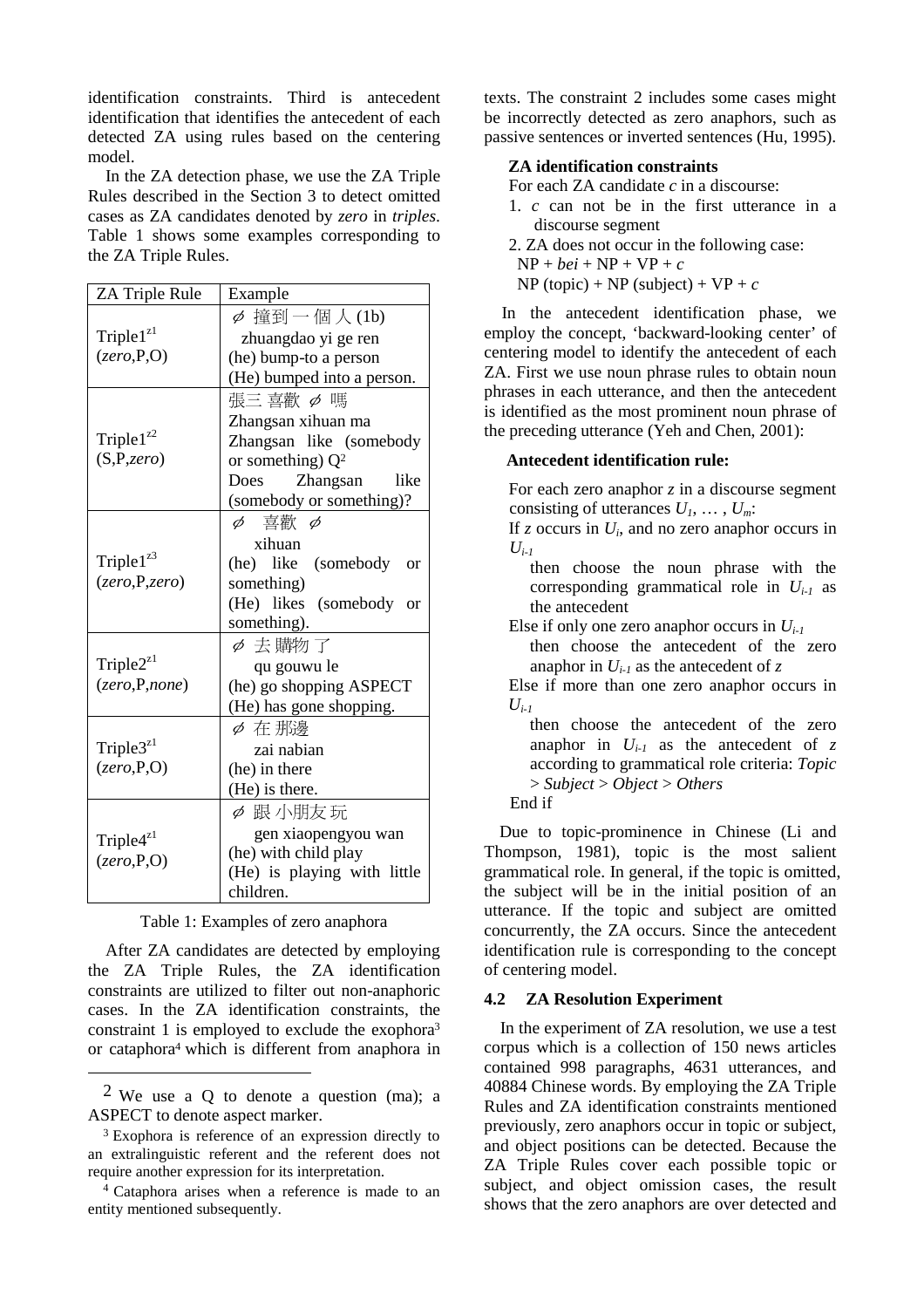identification constraints. Third is antecedent identification that identifies the antecedent of each detected ZA using rules based on the centering model.

In the ZA detection phase, we use the ZA Triple Rules described in the Section 3 to detect omitted cases as ZA candidates denoted by *zero* in *triples*. Table 1 shows some examples corresponding to the ZA Triple Rules.

| $\phi$ 撞到一個人(1b)<br>Triple $1z1$<br>zhuangdao yi ge ren<br>(zero, P, O)<br>(he) bump-to a person<br>(He) bumped into a person.<br>張三 喜歡 〆 嗎<br>Zhangsan xihuan ma<br>Triple $1^{z2}$<br>Zhangsan like (somebody<br>(S, P, zero)<br>or something) $Q^2$<br>Zhangsan<br>like<br>Does<br>(somebody or something)?<br>喜歡 φ<br>$\phi$<br>xihuan<br>Triple $1^{23}$<br>(he) like (somebody<br><b>or</b><br>(zero, P, zero)<br>something)<br>(He) likes (somebody<br><b>or</b><br>something).<br>Ø 去購物了<br>Triple $2^{z}$ <sup>1</sup><br>qu gouwu le<br>(zero, P, none)<br>(he) go shopping ASPECT<br>(He) has gone shopping.<br>Ø 在那邊<br>Triple $3^{z1}$<br>zai nabian |
|-------------------------------------------------------------------------------------------------------------------------------------------------------------------------------------------------------------------------------------------------------------------------------------------------------------------------------------------------------------------------------------------------------------------------------------------------------------------------------------------------------------------------------------------------------------------------------------------------------------------------------------------------------------------|
|                                                                                                                                                                                                                                                                                                                                                                                                                                                                                                                                                                                                                                                                   |
|                                                                                                                                                                                                                                                                                                                                                                                                                                                                                                                                                                                                                                                                   |
|                                                                                                                                                                                                                                                                                                                                                                                                                                                                                                                                                                                                                                                                   |
|                                                                                                                                                                                                                                                                                                                                                                                                                                                                                                                                                                                                                                                                   |
| (zero, P, O)<br>(he) in there<br>(He) is there.                                                                                                                                                                                                                                                                                                                                                                                                                                                                                                                                                                                                                   |
| 〆 跟小朋友 玩<br>gen xiaopengyou wan<br>Triple $4^{z1}$<br>(he) with child play<br>(zero, P, O)<br>(He) is playing with little<br>children.                                                                                                                                                                                                                                                                                                                                                                                                                                                                                                                            |
| Table 1: Examples of zero anaphora<br>After ZA candidates are detected by employing<br>the ZA Triple Rules, the ZA identification<br>constraints are utilized to filter out non-anaphori<br>cases. In the ZA identification constraints, th<br>constraint 1 is employed to exclude the exophora<br>or cataphora <sup>4</sup> which is different from anaphora i                                                                                                                                                                                                                                                                                                   |
| <sup>2</sup> We use a Q to denote a question (ma);<br>ASPECT to denote aspect marker.<br><sup>3</sup> Exophora is reference of an expression directly to<br>an extralinguistic referent and the referent does no<br>require another expression for its interpretation.<br><sup>4</sup> Cataphora arises when a reference is made to a<br>entity mentioned subsequently.                                                                                                                                                                                                                                                                                           |

#### Table 1: Examples of zero anaphora

 $\phi$   $\mathbb{R}$  /  $\mathbb{H}$   $\mathbb{Z}$   $\mathbb{R}$  gen xiaopengy<br>(he) with child pl:<br>(He) is playing<br>children.<br>mples of zero ana<br>tes are detected l<br>ules, the ZA<br>red to filter out n<br>identification con<br>oyed to exclude t<br>is differen After ZA candidates are detected by employing the ZA Triple Rules, the ZA identification constraints are utilized to filter out non-anaphoric cases. In the ZA identification constraints, the constraint 1 is employed to exclude the exophora3 or cataphora4 which is different from anaphora in texts. The constraint 2 includes some cases might be incorrectly detected as zero anaphors, such as passive sentences or inverted sentences (Hu, 1995).

### **ZA identification constraints**

- For each ZA candidate *c* in a discourse:
- 1. *c* can not be in the first utterance in a discourse segment
- 2. ZA does not occur in the following case:
- $NP + bei + NP + VP + c$

 $NP (topic) + NP (subject) + VP + c$ 

In the antecedent identification phase, we employ the concept, 'backward-looking center' of centering model to identify the antecedent of each ZA. First we use noun phrase rules to obtain noun phrases in each utterance, and then the antecedent is identified as the most prominent noun phrase of the preceding utterance (Yeh and Chen, 2001):

### **Antecedent identification rule:**

For each zero anaphor *z* in a discourse segment consisting of utterances *U1*, … , *Um*:

If  $z$  occurs in  $U_i$ , and no zero anaphor occurs in  $U_{i-1}$ 

then choose the noun phrase with the corresponding grammatical role in  $U_{i-1}$  as the antecedent

Else if only one zero anaphor occurs in *Ui-1*

then choose the antecedent of the zero anaphor in  $U_{i-1}$  as the antecedent of z

Else if more than one zero anaphor occurs in  $U_{i-1}$ 

then choose the antecedent of the zero anaphor in  $U_{i-1}$  as the antecedent of z according to grammatical role criteria: *Topic* > *Subject* > *Object* > *Others*



Due to topic-prominence in Chinese (Li and Thompson, 1981), topic is the most salient grammatical role. In general, if the topic is omitted, the subject will be in the initial position of an utterance. If the topic and subject are omitted concurrently, the ZA occurs. Since the antecedent identification rule is corresponding to the concept of centering model.

#### **4.2 ZA Resolution Experiment**

In the experiment of ZA resolution, we use a test corpus which is a collection of 150 news articles contained 998 paragraphs, 4631 utterances, and 40884 Chinese words. By employing the ZA Triple Rules and ZA identification constraints mentioned previously, zero anaphors occur in topic or subject, and object positions can be detected. Because the ZA Triple Rules cover each possible topic or subject, and object omission cases, the result shows that the zero anaphors are over detected and

<sup>2</sup> We use a Q to denote a question (ma); a ASPECT to denote aspect marker.

<sup>3</sup> Exophora is reference of an expression directly to an extralinguistic referent and the referent does not require another expression for its interpretation.

<sup>4</sup> Cataphora arises when a reference is made to an entity mentioned subsequently.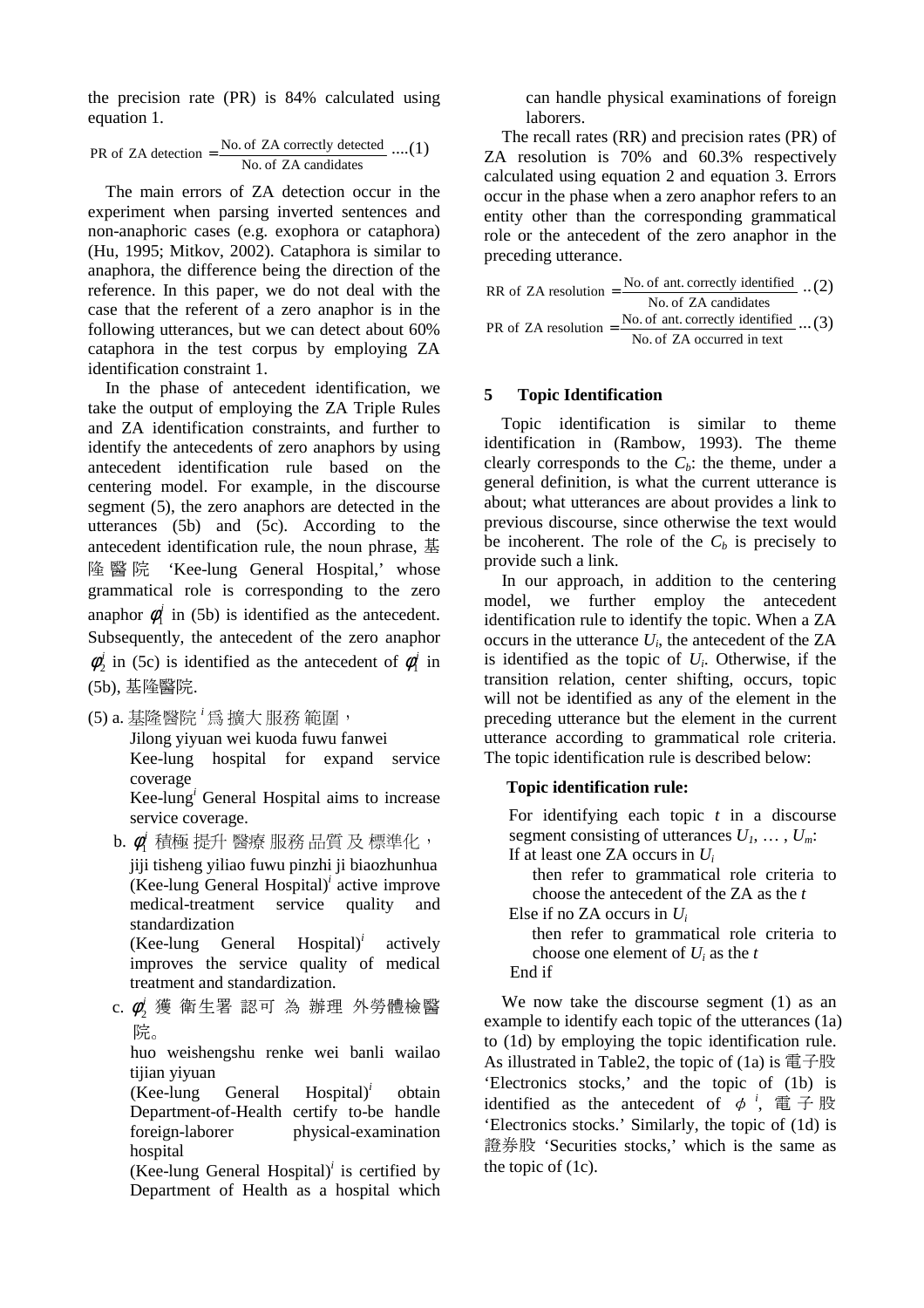the precision rate (PR) is 84% calculated using equation 1.

PR of ZA detection = 
$$
\frac{\text{No. of ZA correctly detected}}{\text{No. of ZA candidates}} \dots (1)
$$

The main errors of ZA detection occur in the experiment when parsing inverted sentences and non-anaphoric cases (e.g. exophora or cataphora) (Hu, 1995; Mitkov, 2002). Cataphora is similar to anaphora, the difference being the direction of the reference. In this paper, we do not deal with the case that the referent of a zero anaphor is in the following utterances, but we can detect about 60% cataphora in the test corpus by employing ZA identification constraint 1.

In the phase of antecedent identification, we take the output of employing the ZA Triple Rules and ZA identification constraints, and further to identify the antecedents of zero anaphors by using antecedent identification rule based on the centering model. For example, in the discourse segment (5), the zero anaphors are detected in the utterances (5b) and (5c). According to the antecedent identification rule, the noun phrase, 基 grammatical role is corresponding to the zero 隆 醫 院 'Kee-lung General Hospital,' whose anaphor  $\phi_i^i$  in (5b) is identified as the antecedent. Subsequently, the antecedent of the zero anaphor  $\phi_2^i$  in (5c) is identified as the antecedent of  $\phi_1^i$  in (5b), 基隆醫院.<br>.

(5) a. 基隆醫院  $^i$ 爲 擴大 服務 範圍,

Jilong yiyuan wei kuoda fuwu fanwei Kee-lung hospital for expand service coverage

Kee-lung*<sup>i</sup>* General Hospital aims to increase service coverage.

 $b.$   $\phi_1'$  積極 提升 醫療 服務 品質 及 標準化,

基隆醫院<sup>:</sup> [爲 擴大 服務 範圍,<br>Jilong yiyuan wei kuoda fuwu fa<br>Kee-lung hospital for expa<br>coverage<br>Kee-lung hospital for expa<br>coverage<br>Kee-lung ig General Hospital aims<br>service coverage.<br> $\phi_1'$  積極 提升 醫療 服務 品質<br>jijji tisheng yiliao 積極 提升 醫療 服務 品質 及 標準化,<br>tisheng yiliao fuwu pinzhi ji biaozhunhua<br>e-lung General Hospital)' active improve<br>lical-treatment service quality and<br>dardization<br>e-lung General Hospital)' actively<br>roves the service quality of medi jiji tisheng yiliao fuwu pinzhi ji biaozhunhua (Kee-lung General Hospital)*<sup>i</sup>* active improve medical-treatment service quality and standardization

(Kee-lung General Hospital)*<sup>i</sup>* actively improves the service quality of medical treatment and standardization.

c. φ<sup>;</sup> 獲 衛生署 認可 為 辦理 外勞體檢醫<br>……

 huo weishengshu renke wei banli wailao tijian yiyuan

(Kee-lung General Hospital)*<sup>i</sup>* obtain Department-of-Health certify to-be handle foreign-laborer physical-examination hospital

(Kee-lung General Hospital)*<sup>i</sup>* is certified by Department of Health as a hospital which

can handle physical examinations of foreign laborers.

The recall rates (RR) and precision rates (PR) of ZA resolution is 70% and 60.3% respectively calculated using equation 2 and equation 3. Errors occur in the phase when a zero anaphor refers to an entity other than the corresponding grammatical role or the antecedent of the zero anaphor in the preceding utterance.

RR of ZA resolution = 
$$
\frac{\text{No. of ant. correctly identified}}{\text{No. of ZA candidates}} \dots (2)
$$
  
PR of ZA resolution =  $\frac{\text{No. of ant. correctly identified}}{\text{No. of ZA occurred in text}} \dots (3)$ 

### **5 Topic Identification**

Topic identification is similar to theme identification in (Rambow, 1993). The theme clearly corresponds to the  $C_b$ : the theme, under a general definition, is what the current utterance is about; what utterances are about provides a link to previous discourse, since otherwise the text would be incoherent. The role of the  $C_b$  is precisely to provide such a link.

In our approach, in addition to the centering model, we further employ the antecedent identification rule to identify the topic. When a ZA occurs in the utterance *Ui*, the antecedent of the ZA is identified as the topic of  $U_i$ . Otherwise, if the transition relation, center shifting, occurs, topic will not be identified as any of the element in the preceding utterance but the element in the current utterance according to grammatical role criteria. The topic identification rule is described below:

### **Topic identification rule:**

For identifying each topic *t* in a discourse segment consisting of utterances *U1*, … , *Um*: If at least one ZA occurs in *Ui*

then refer to grammatical role criteria to choose the antecedent of the ZA as the *t*

Else if no ZA occurs in *Ui*

then refer to grammatical role criteria to choose one element of *Ui* as the *t*

End if

We now take the discourse segment (1) as an example to identify each topic of the utterances (1a) to (1d) by employing the topic identification rule. As illustrated in Table2, the topic of  $(1a)$  is  $\widehat{\mathbb{E}}$   $\widehat{\div}$   $\mathbb{R}$ 'Electronics stocks,' and the topic of (1b) is identified as the antecedent of  $\phi^i$ , 電子股 'Electronics stocks.' Similarly, the topic of (1d) is 證券股 'Securities stocks,' which is the same as the topic of (1c).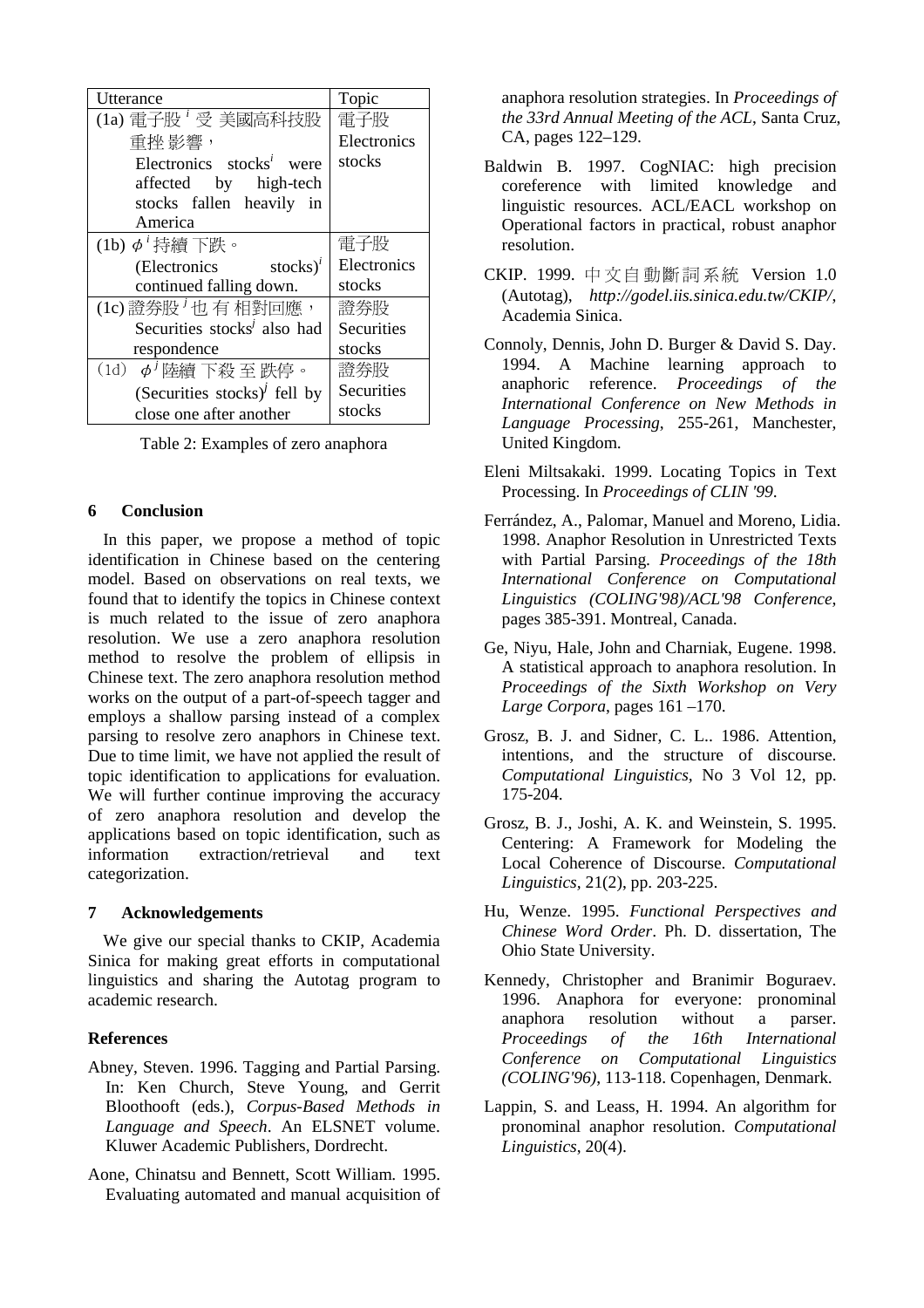| Utterance                                                                                                                                         | Topic       |  |
|---------------------------------------------------------------------------------------------------------------------------------------------------|-------------|--|
| $(1a)$ 電子股 $^i$ 受 美國高科技股                                                                                                                          | 電子股         |  |
| 重挫 影響,                                                                                                                                            | Electronics |  |
| Electronics stocks <sup><math>i</math> were</sup>                                                                                                 | stocks      |  |
| by high-tech<br>affected                                                                                                                          |             |  |
| stocks fallen heavily in                                                                                                                          |             |  |
| America                                                                                                                                           |             |  |
| (1b) $\phi^i$ 持續 下跌。                                                                                                                              | 電子股         |  |
| stocks $)^{i}$<br>(Electronics                                                                                                                    | Electronics |  |
| continued falling down.                                                                                                                           | stocks      |  |
| (1c) 證券股 <sup>j</sup> 也有相對回應,                                                                                                                     | 證券股         |  |
| Securities stocks <sup><i>i</i></sup> also had                                                                                                    | Securities  |  |
| respondence                                                                                                                                       | stocks      |  |
| $(1d)$ φ' 陸續 下殺 至 跌停。                                                                                                                             | 證券股         |  |
| (Securities stocks) $\ell$ fell by                                                                                                                | Securities  |  |
| close one after another                                                                                                                           | stocks      |  |
| Table 2: Examples of zero anaphora                                                                                                                |             |  |
| 6<br><b>Conclusion</b>                                                                                                                            |             |  |
| In this paper, we propose a method of topic<br>identification in Chinese based on the centering<br>model. Based on observations on real texts, wo |             |  |
| found that to identify the topics in Chinese contex<br>is much related to the issue of zero anaphora                                              |             |  |
| resolution. We use a zero anaphora resolution                                                                                                     |             |  |
| method to resolve the problem of ellipsis in                                                                                                      |             |  |
| Chinese text. The zero anaphora resolution method                                                                                                 |             |  |
| works on the output of a part-of-speech tagger and                                                                                                |             |  |
| employs a shallow parsing instead of a complex                                                                                                    |             |  |
| parsing to resolve zero anaphors in Chinese text                                                                                                  |             |  |
| Due to time limit, we have not applied the result o                                                                                               |             |  |
| topic identification to applications for evaluation                                                                                               |             |  |

Table 2: Examples of zero anaphora

#### **6 Conclusion**

Due to time limit, we have not applied the result of topic identification to applications for evaluation. dectronics<br>time falling<br>tectronics<br>time dialing<br>curities stock<br>pondence<br>pondence<br>curities stock<br>pondence<br>ecurities stock<br>ecurities stock<br>asseme after able 2: Examp<br>clusion<br>paper, we paper, we paper, we paper, we paper, w 證券股<sup>*j*</sup><br>*gioral definition definition defined as a set of idea of idea or Table 2<br>
<b>Conclusion Table 2<br> Conclusion defined by a shade that to i defined that to idea that to idea that to idea that to idea that to ide*  $\frac{1}{13}$   $\frac{1}{13}$   $\frac{1}{13}$   $\frac{1}{13}$   $\frac{1}{13}$   $\frac{1}{13}$   $\frac{1}{13}$   $\frac{1}{13}$   $\frac{1}{13}$   $\frac{1}{13}$   $\frac{1}{13}$   $\frac{1}{13}$   $\frac{1}{13}$   $\frac{1}{13}$   $\frac{1}{13}$   $\frac{1}{16}$   $\frac{1}{16}$   $\frac{1}{16}$   $\frac{1}{16}$   $\frac{1}{16}$  the Securiti<br>Securiti<br>stocks<br>Securiti<br>stocks<br>aphora<br>aphora<br>aphora<br>et de real text<br>of a c<br>of a c<br>of a c<br>of a c<br>of a c<br>of a c<br>of a c<br>of a c<br>of a c<br>of a c<br>of a c<br>of a c<br>of a c<br>of a c<br>of a c<br>of a c<br>of a c<br>of a c<br>a d<br>a d<br>a d<br>a  $\frac{1}{1000}$  +  $\frac{1}{1000}$  +  $\frac{1}{1000}$  =  $\frac{1}{1000}$  =  $\frac{1}{1000}$  =  $\frac{1}{1000}$  =  $\frac{1}{1000}$  =  $\frac{1}{1000}$  =  $\frac{1}{1000}$  =  $\frac{1}{1000}$  =  $\frac{1}{1000}$  =  $\frac{1}{1000}$  =  $\frac{1}{1000}$  =  $\frac{1}{1000}$  =  $\frac{1}{1000}$ Examples and Securiti<br>Securiti stocks<br>aphora<br>aphora<br>thod of the ceal text<br>calculus care of elliption<br>of a computed the r<br>for evaluation, and<br>alculus and devel<br>cation, and<br>KIP, Accomputed ranging prog In this paper, we propose a method of topic identification in Chinese based on the centering model. Based on observations on real texts, we found that to identify the topics in Chinese context is much related to the issue of zero anaphora resolution. We use a zero anaphora resolution method to resolve the problem of ellipsis in Chinese text. The zero anaphora resolution method works on the output of a part-of-speech tagger and employs a shallow parsing instead of a complex parsing to resolve zero anaphors in Chinese text. We will further continue improving the accuracy of zero anaphora resolution and develop the applications based on topic identification, such as information extraction/retrieval and text categorization.

#### **7 Acknowledgements**

We give our special thanks to CKIP, Academia Sinica for making great efforts in computational linguistics and sharing the Autotag program to academic research.

#### **References**

- Abney, Steven. 1996. Tagging and Partial Parsing. In: Ken Church, Steve Young, and Gerrit Bloothooft (eds.), *Corpus-Based Methods in Language and Speech*. An ELSNET volume. Kluwer Academic Publishers, Dordrecht.
- Aone, Chinatsu and Bennett, Scott William. 1995. Evaluating automated and manual acquisition of

anaphora resolution strategies. In *Proceedings of the 33rd Annual Meeting of the ACL*, Santa Cruz, CA, pages 122–129.

- Baldwin B. 1997. CogNIAC: high precision coreference with limited knowledge and linguistic resources. ACL/EACL workshop on Operational factors in practical, robust anaphor resolution.
- CKIP. 1999. 中文自動斷詞系統 Version 1.0 (Autotag), *http://godel.iis.sinica.edu.tw/CKIP/*, Academia Sinica.
- Connoly, Dennis, John D. Burger & David S. Day. 1994. A Machine learning approach to anaphoric reference. *Proceedings of the International Conference on New Methods in Language Processing*, 255-261, Manchester, United Kingdom.
- Eleni Miltsakaki. 1999. Locating Topics in Text Processing. In *Proceedings of CLIN '99*.
- 中文自動圖<br>
<br>
中文自動圖系統 Version 1.0<br>
http://godel.iis.sinica.edu.tw/CKIP/,<br>
inica.<br>
<br>
iis, John D. Burger & David S. Day.<br>
Machine learning approach to<br>
reference. Proceedings of the<br>
ll Conference on New Methods in<br>
Processing, Ferrández, A., Palomar, Manuel and Moreno, Lidia. 1998. Anaphor Resolution in Unrestricted Texts with Partial Parsing. *Proceedings of the 18th International Conference on Computational Linguistics (COLING'98)/ACL'98 Conference*, pages 385-391. Montreal, Canada.
- Ge, Niyu, Hale, John and Charniak, Eugene. 1998. A statistical approach to anaphora resolution. In *Proceedings of the Sixth Workshop on Very Large Corpora*, pages 161 –170.
- Grosz, B. J. and Sidner, C. L.. 1986. Attention, intentions, and the structure of discourse. *Computational Linguistics,* No 3 Vol 12, pp. 175-204.
- Grosz, B. J., Joshi, A. K. and Weinstein, S. 1995. Centering: A Framework for Modeling the Local Coherence of Discourse. *Computational Linguistics,* 21(2), pp. 203-225.
- Hu, Wenze. 1995. *Functional Perspectives and Chinese Word Order*. Ph. D. dissertation, The Ohio State University.
- Kennedy, Christopher and Branimir Boguraev. 1996. Anaphora for everyone: pronominal anaphora resolution without a parser. *Proceedings of the 16th International Conference on Computational Linguistics (COLING'96)*, 113-118. Copenhagen, Denmark.
- Lappin, S. and Leass, H. 1994. An algorithm for pronominal anaphor resolution. *Computational Linguistics*, 20(4).